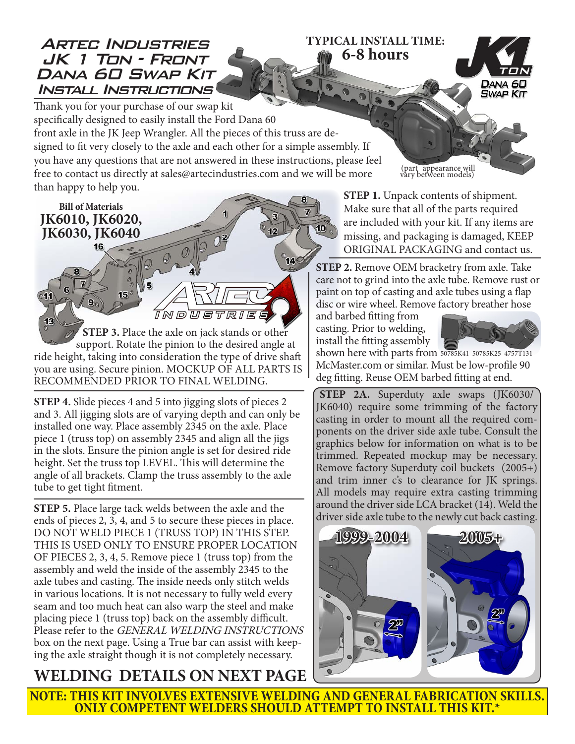## Artec Industries JK 1 Ton - Front DANA *60 SWAP KIT* Install Instructions

**TYPICAL INSTALL TIME: 6-8 hours**



Thank you for your purchase of our swap kit specifically designed to easily install the Ford Dana 60 front axle in the JK Jeep Wrangler. All the pieces of this truss are designed to fit very closely to the axle and each other for a simple assembly. If you have any questions that are not answered in these instructions, please feel free to contact us directly at sales@artecindustries.com and we will be more than happy to help you.

**Bill of Materials JK6010, JK6020, JK6030, JK6040**

 $\mathbf{9}$ 

11

16

 $15$ 

**STEP 3.** Place the axle on jack stands or other support. Rotate the pinion to the desired angle at ride height, taking into consideration the type of drive shaft you are using. Secure pinion. MOCKUP OF ALL PARTS IS RECOMMENDED PRIOR TO FINAL WELDING.

 $\overline{\mathbb{I}}$  M p  $\overline{\mathbb{u}}$ 

**STEP 4.** Slide pieces 4 and 5 into jigging slots of pieces 2 and 3. All jigging slots are of varying depth and can only be installed one way. Place assembly 2345 on the axle. Place piece 1 (truss top) on assembly 2345 and align all the jigs in the slots. Ensure the pinion angle is set for desired ride height. Set the truss top LEVEL. This will determine the angle of all brackets. Clamp the truss assembly to the axle tube to get tight fitment.

**STEP 5.** Place large tack welds between the axle and the ends of pieces 2, 3, 4, and 5 to secure these pieces in place. DO NOT WELD PIECE 1 (TRUSS TOP) IN THIS STEP. THIS IS USED ONLY TO ENSURE PROPER LOCATION OF PIECES 2, 3, 4, 5. Remove piece 1 (truss top) from the assembly and weld the inside of the assembly 2345 to the axle tubes and casting. The inside needs only stitch welds in various locations. It is not necessary to fully weld every seam and too much heat can also warp the steel and make placing piece 1 (truss top) back on the assembly difficult. Please refer to the GENERAL WELDING INSTRUCTIONS box on the next page. Using a True bar can assist with keeping the axle straight though it is not completely necessary.

## **WELDING DETAILS ON NEXT PAGE**

(part appearance will vary between models)

**STEP 1.** Unpack contents of shipment. Make sure that all of the parts required are included with your kit. If any items are missing, and packaging is damaged, KEEP ORIGINAL PACKAGING and contact us.

**STEP 2.** Remove OEM bracketry from axle. Take care not to grind into the axle tube. Remove rust or paint on top of casting and axle tubes using a flap disc or wire wheel. Remove factory breather hose

and barbed fitting from casting. Prior to welding, install the fitting assembly

 $10<sub>n</sub>$ 



shown here with parts from 50785K41 50785K25 4757T131McMaster.com or similar. Must be low-profile 90 deg fitting. Reuse OEM barbed fitting at end.

**STEP 2A.** Superduty axle swaps (JK6030/ JK6040) require some trimming of the factory casting in order to mount all the required components on the driver side axle tube. Consult the graphics below for information on what is to be trimmed. Repeated mockup may be necessary. Remove factory Superduty coil buckets (2005+) and trim inner c's to clearance for JK springs. All models may require extra casting trimming around the driver side LCA bracket (14). Weld the driver side axle tube to the newly cut back casting.



**NOTE: THIS KIT INVOLVES EXTENSIVE WELDING AND GENERAL FABRICATION SKILLS. ONLY COMPETENT WELDERS SHOULD ATTEMPT TO INSTALL THIS KIT.\***